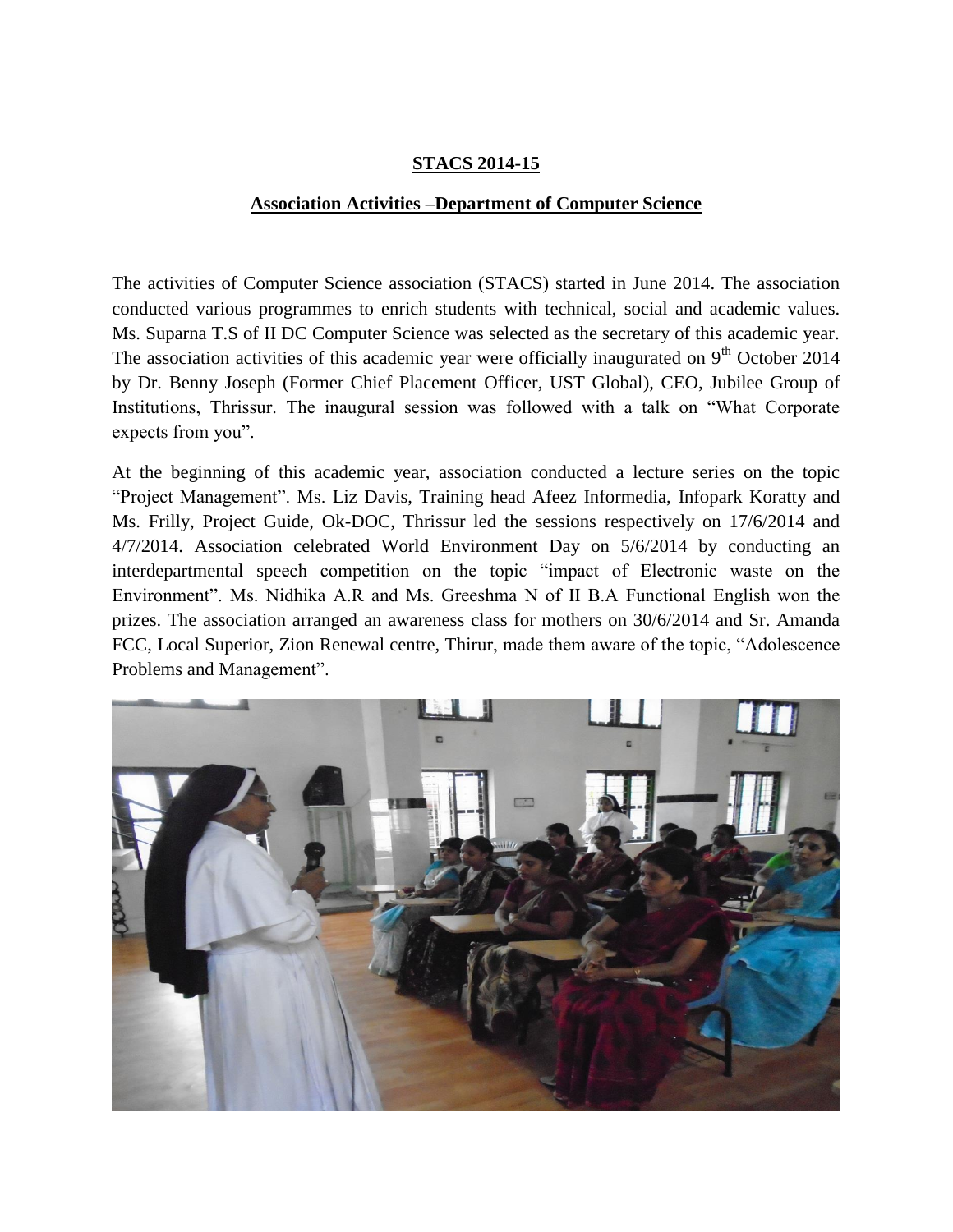## **STACS 2014-15**

## **Association Activities –Department of Computer Science**

The activities of Computer Science association (STACS) started in June 2014. The association conducted various programmes to enrich students with technical, social and academic values. Ms. Suparna T.S of II DC Computer Science was selected as the secretary of this academic year. The association activities of this academic year were officially inaugurated on  $9<sup>th</sup>$  October 2014 by Dr. Benny Joseph (Former Chief Placement Officer, UST Global), CEO, Jubilee Group of Institutions, Thrissur. The inaugural session was followed with a talk on "What Corporate expects from you".

At the beginning of this academic year, association conducted a lecture series on the topic "Project Management". Ms. Liz Davis, Training head Afeez Informedia, Infopark Koratty and Ms. Frilly, Project Guide, Ok-DOC, Thrissur led the sessions respectively on 17/6/2014 and 4/7/2014. Association celebrated World Environment Day on 5/6/2014 by conducting an interdepartmental speech competition on the topic "impact of Electronic waste on the Environment". Ms. Nidhika A.R and Ms. Greeshma N of II B.A Functional English won the prizes. The association arranged an awareness class for mothers on 30/6/2014 and Sr. Amanda FCC, Local Superior, Zion Renewal centre, Thirur, made them aware of the topic, "Adolescence Problems and Management".

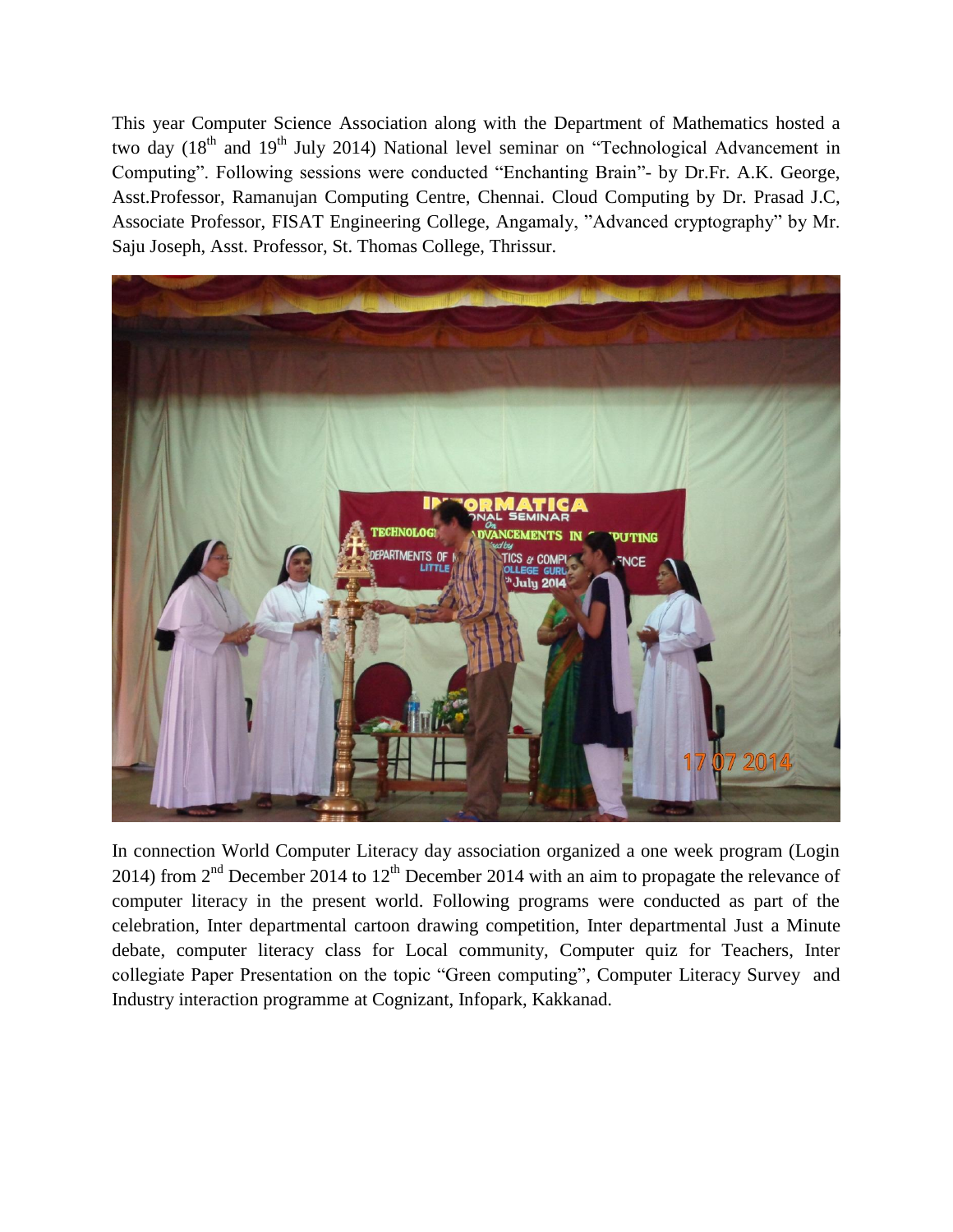This year Computer Science Association along with the Department of Mathematics hosted a two day (18<sup>th</sup> and 19<sup>th</sup> July 2014) National level seminar on "Technological Advancement in Computing". Following sessions were conducted "Enchanting Brain"- by Dr.Fr. A.K. George, Asst.Professor, Ramanujan Computing Centre, Chennai. Cloud Computing by Dr. Prasad J.C, Associate Professor, FISAT Engineering College, Angamaly, "Advanced cryptography" by Mr. Saju Joseph, Asst. Professor, St. Thomas College, Thrissur.



In connection World Computer Literacy day association organized a one week program (Login 2014) from  $2<sup>nd</sup>$  December 2014 to 12<sup>th</sup> December 2014 with an aim to propagate the relevance of computer literacy in the present world. Following programs were conducted as part of the celebration, Inter departmental cartoon drawing competition, Inter departmental Just a Minute debate, computer literacy class for Local community, Computer quiz for Teachers, Inter collegiate Paper Presentation on the topic "Green computing", Computer Literacy Survey and Industry interaction programme at Cognizant, Infopark, Kakkanad.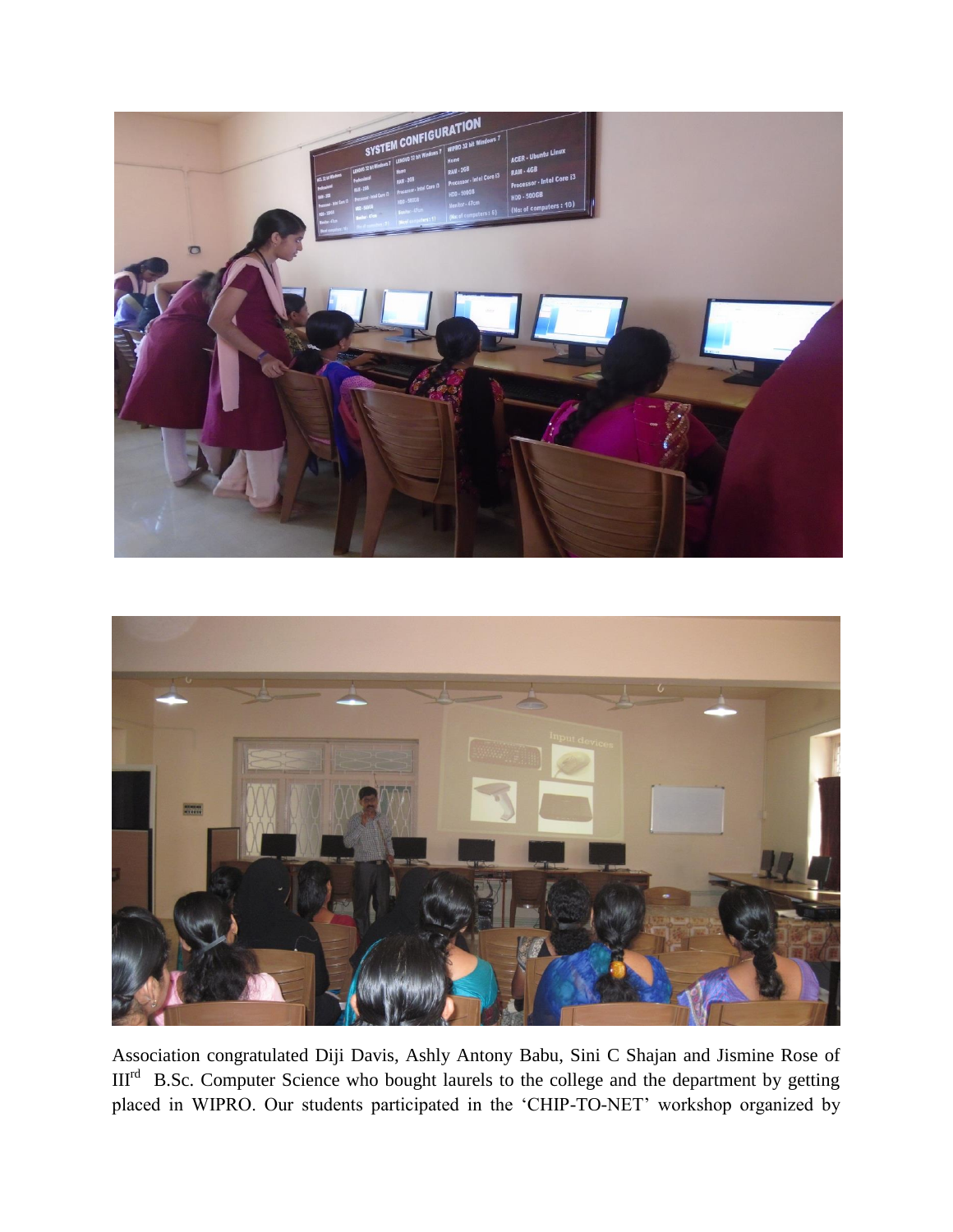



Association congratulated Diji Davis, Ashly Antony Babu, Sini C Shajan and Jismine Rose of III<sup>rd</sup> B.Sc. Computer Science who bought laurels to the college and the department by getting placed in WIPRO. Our students participated in the "CHIP-TO-NET" workshop organized by